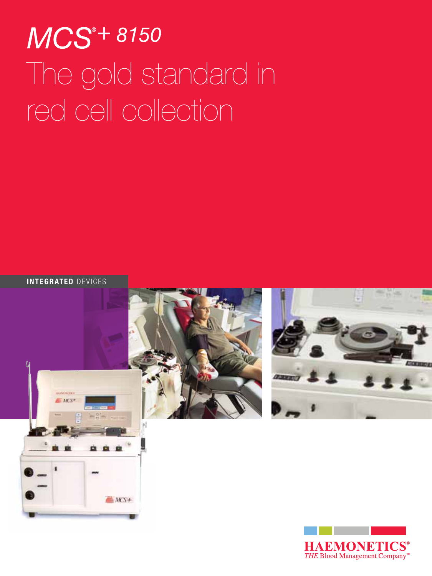# MCS<sup>®+8150</sup> The gold standard in red cell collection

Integrated devices

 $MST+$ 



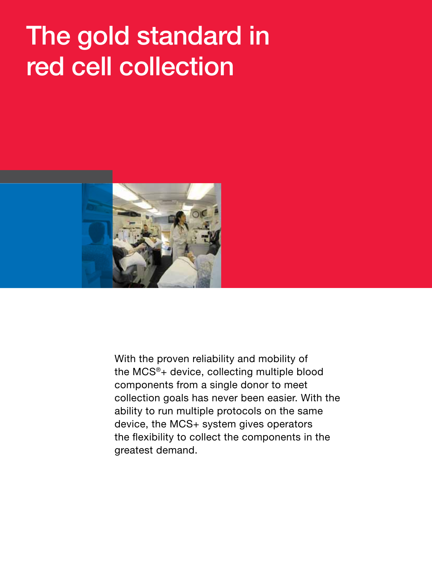## The gold standard in red cell collection



With the proven reliability and mobility of the MCS®+ device, collecting multiple blood components from a single donor to meet collection goals has never been easier. With the ability to run multiple protocols on the same device, the MCS+ system gives operators the flexibility to collect the components in the greatest demand.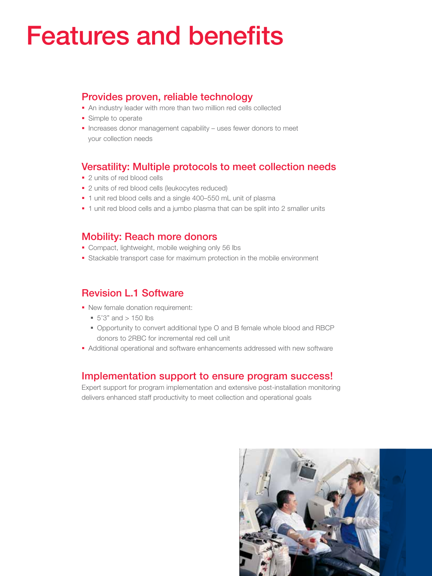### Features and benefits

#### Provides proven, reliable technology

- An industry leader with more than two million red cells collected
- **Simple to operate**
- **Increases donor management capability uses fewer donors to meet** your collection needs

### Versatility: Multiple protocols to meet collection needs

- 2 units of red blood cells
- 2 units of red blood cells (leukocytes reduced)
- 1 unit red blood cells and a single 400–550 mL unit of plasma
- **1** unit red blood cells and a jumbo plasma that can be split into 2 smaller units

#### Mobility: Reach more donors

- **Compact, lightweight, mobile weighing only 56 lbs**
- Stackable transport case for maximum protection in the mobile environment

### Revision L.1 Software

- New female donation requirement:
	- $\blacksquare$  5'3" and > 150 lbs
	- Opportunity to convert additional type O and B female whole blood and RBCP donors to 2RBC for incremental red cell unit
- Additional operational and software enhancements addressed with new software

#### Implementation support to ensure program success!

Expert support for program implementation and extensive post-installation monitoring delivers enhanced staff productivity to meet collection and operational goals